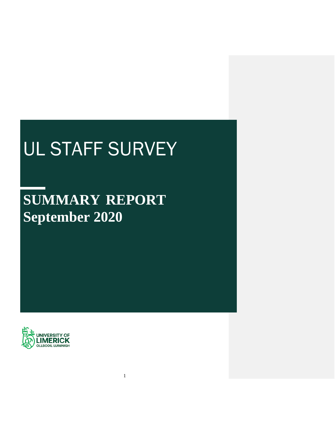# UL STAFF SURVEY

# **SUMMARY REPORT September 2020**

1

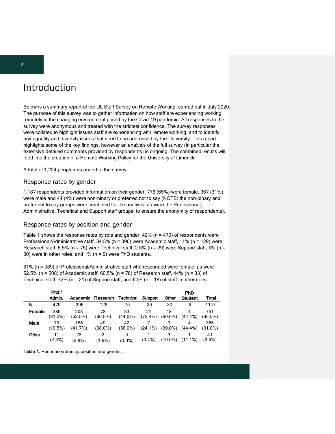# Introduction

Below is a summary report of the UL Staff Survey on Remote Working, carried out in July 2020. The purpose of this survey was to gather information on how staff are experiencing working remotely in the changing environment posed by the Covid-19 pandemic. All responses to the survey were anonymous and treated with the strictest confidence. The survey responses were collated to highlight issues staff are experiencing with remote working, and to identify any equality and diversity issues that need to be addressed by the University. This report highlights some of the key findings, however an analysis of the full survey (in particular the extensive detailed comments provided by respondents) is ongoing. The combined results will feed into the creation of a Remote Working Policy for the University of Limerick.

A total of 1,224 people responded to the survey.

#### Response rates by gender

1,187 respondents provided information on their gender. 776 (65%) were female, 367 (31%) were male and 44 (4%) were non-binary or preferred not to say (NOTE: the non-binary and prefer not to say groups were combined for the analysis, as were the Professional, Administrative, Technical and Support staff groups, to ensure the anonymity of respondents).

#### Response rates by position and gender

Table 1 shows the response rates by role and gender.  $42\%$  (n = 479) of respondents were Professional/Administrative staff, 34.5% (n = 396) were Academic staff, 11% (n = 129) were Research staff,  $6.5\%$  (n = 75) were Technical staff, 2.5% (n = 29) were Support staff, 3% (n = 30) were in other roles, and 1% (n = 9) were PhD students.

81% (n = 389) of Professional/Administrative staff who responded were female, as were 52.5% (n = 208) of Academic staff,  $60.5\%$  (n = 78) of Research staff,  $44\%$  (n = 33) of Technical staff, 72% ( $n = 21$ ) of Support staff, and 60% ( $n = 18$ ) of staff in other roles.

|        | Prof./          |                 |                |                  |                  |                  | <b>PhD</b>      |                   |
|--------|-----------------|-----------------|----------------|------------------|------------------|------------------|-----------------|-------------------|
|        | Admin.          | Academic        | Research       | <b>Technical</b> | Support          | Other            | <b>Student</b>  | Total             |
| N      | 479             | 396             | 129            | 75               | 29               | 30               | 9               | 1147              |
| Female | 389<br>(81.2%)  | 208<br>(52.5%)  | 78<br>(60.5%)  | 33<br>(44.0%)    | 21<br>$(72.4\%)$ | 18<br>$(60.0\%)$ | $(44.4\%)$      | 751<br>(65.5%)    |
| Male   | 79<br>(16.5%)   | 165<br>(41.7%)  | 49<br>(38.0%)  | 42<br>(56.0%)    | $(24.1\%)$       | 9<br>$(30.0\%)$  | 4<br>$(44.4\%)$ | 355<br>$(31.0\%)$ |
| Other  | 11<br>$(2.3\%)$ | 23<br>$(5.8\%)$ | 2<br>$(1.6\%)$ | 0<br>$(0.0\%)$   | $(3.4\%)$        | $(10.0\%)$       | $(11.1\%)$      | 41<br>$(3.6\%)$   |

Table 1: Response rates by position and gender.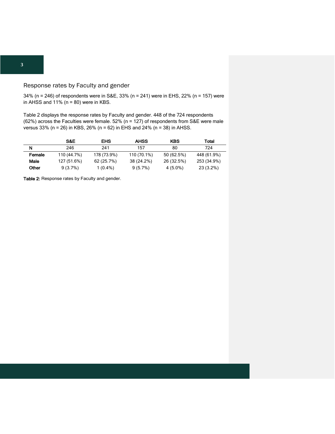#### Response rates by Faculty and gender

34% (n = 246) of respondents were in S&E, 33% (n = 241) were in EHS, 22% (n = 157) were in AHSS and  $11\%$  (n = 80) were in KBS.

Table 2 displays the response rates by Faculty and gender. 448 of the 724 respondents (62%) across the Faculties were female. 52% (n = 127) of respondents from S&E were male versus 33% (n = 26) in KBS, 26% (n = 62) in EHS and 24% (n = 38) in AHSS.

|        | S&E         | EHS         | <b>AHSS</b> | <b>KBS</b> | Total       |
|--------|-------------|-------------|-------------|------------|-------------|
| N      | 246         | 241         | 157         | 80         | 724         |
| Female | 110 (44.7%) | 178 (73.9%) | 110 (70.1%) | 50 (62.5%) | 448 (61.9%) |
| Male   | 127 (51.6%) | 62 (25.7%)  | 38 (24.2%)  | 26 (32.5%) | 253 (34.9%) |
| Other  | $9(3.7\%)$  | $1(0.4\%)$  | $9(5.7\%)$  | 4 (5.0%)   | 23 (3.2%)   |

Table 2: Response rates by Faculty and gender.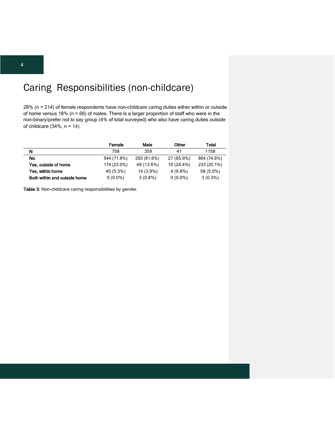# Caring Responsibilities (non-childcare)

28% (n = 214) of female respondents have non-childcare caring duties either within or outside of home versus 18% ( $n = 66$ ) of males. There is a larger proportion of staff who were in the non-binary/prefer not to say group (4% of total surveyed) who also have caring duties outside of childcare (34%, n = 14).

|                              | Female      | Male        | Other      | Total       |
|------------------------------|-------------|-------------|------------|-------------|
| N                            | 758         | 359         | 41         | 1158        |
| <b>No</b>                    | 544 (71.8%) | 293 (81.6%) | 27 (65.9%) | 864 (74.6%) |
| Yes, outside of home         | 174 (23.0%) | 49 (13.6%)  | 10 (24.4%) | 233 (20.1%) |
| Yes, within home             | 40 (5.3%)   | 14 (3.9%)   | 4 (9.8%)   | 58 (5.0%)   |
| Both within and outside home | $0(0.0\%)$  | $3(0.8\%)$  | $0(0.0\%)$ | $3(0.3\%)$  |

Table 3: Non-childcare caring responsibilities by gender.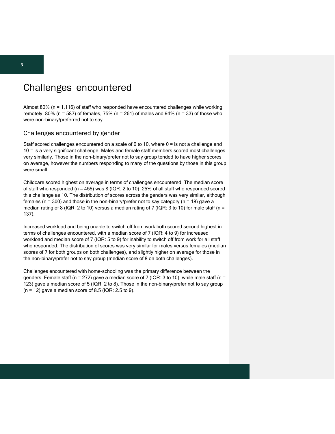### Challenges encountered

Almost 80% (n = 1,116) of staff who responded have encountered challenges while working remotely; 80% (n = 587) of females, 75% (n = 261) of males and 94% (n = 33) of those who were non-binary/preferred not to say.

#### Challenges encountered by gender

Staff scored challenges encountered on a scale of 0 to 10, where 0 = is not a challenge and 10 = is a very significant challenge. Males and female staff members scored most challenges very similarly. Those in the non-binary/prefer not to say group tended to have higher scores on average, however the numbers responding to many of the questions by those in this group were small.

Childcare scored highest on average in terms of challenges encountered. The median score of staff who responded (n = 455) was 8 (IQR: 2 to 10). 25% of all staff who responded scored this challenge as 10. The distribution of scores across the genders was very similar, although females ( $n = 300$ ) and those in the non-binary/prefer not to say category ( $n = 18$ ) gave a median rating of 8 (IQR: 2 to 10) versus a median rating of 7 (IQR: 3 to 10) for male staff (n = 137).

Increased workload and being unable to switch off from work both scored second highest in terms of challenges encountered, with a median score of 7 (IQR: 4 to 9) for increased workload and median score of 7 (IQR: 5 to 9) for inability to switch off from work for all staff who responded. The distribution of scores was very similar for males versus females (median scores of 7 for both groups on both challenges), and slightly higher on average for those in the non-binary/prefer not to say group (median score of 8 on both challenges).

Challenges encountered with home-schooling was the primary difference between the genders. Female staff (n = 272) gave a median score of 7 (IQR: 3 to 10), while male staff (n = 123) gave a median score of 5 (IQR: 2 to 8). Those in the non-binary/prefer not to say group  $(n = 12)$  gave a median score of 8.5 (IQR: 2.5 to 9).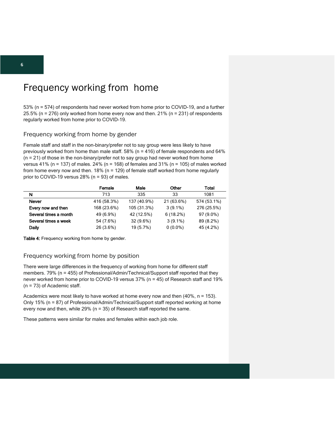# Frequency working from home

53% (n = 574) of respondents had never worked from home prior to COVID-19, and a further 25.5% (n = 276) only worked from home every now and then. 21% (n = 231) of respondents regularly worked from home prior to COVID-19.

#### Frequency working from home by gender

Female staff and staff in the non-binary/prefer not to say group were less likely to have previously worked from home than male staff.  $58\%$  (n = 416) of female respondents and 64%  $(n = 21)$  of those in the non-binary/prefer not to say group had never worked from home versus  $41\%$  (n = 137) of males. 24% (n = 168) of females and 31% (n = 105) of males worked from home every now and then. 18% (n = 129) of female staff worked from home regularly prior to COVID-19 versus 28% (n = 93) of males.

|                       | Female      | Male        | Other       | Total       |
|-----------------------|-------------|-------------|-------------|-------------|
| N                     | 713         | 335         | 33          | 1081        |
| <b>Never</b>          | 416 (58.3%) | 137 (40.9%) | 21 (63.6%)  | 574 (53.1%) |
| Every now and then    | 168 (23.6%) | 105 (31.3%) | $3(9.1\%)$  | 276 (25.5%) |
| Several times a month | 49 (6.9%)   | 42 (12.5%)  | $6(18.2\%)$ | 97 (9.0%)   |
| Several times a week  | 54 (7.6%)   | $32(9.6\%)$ | $3(9.1\%)$  | 89 (8.2%)   |
| Daily                 | 26 (3.6%)   | 19 (5.7%)   | $0(0.0\%)$  | 45 (4.2%)   |

Table 4: Frequency working from home by gender.

#### Frequency working from home by position

There were large differences in the frequency of working from home for different staff members. 79% (n = 455) of Professional/Admin/Technical/Support staff reported that they never worked from home prior to COVID-19 versus 37% (n = 45) of Research staff and 19% (n = 73) of Academic staff.

Academics were most likely to have worked at home every now and then (40%, n = 153). Only 15% (n = 87) of Professional/Admin/Technical/Support staff reported working at home every now and then, while 29% ( $n = 35$ ) of Research staff reported the same.

These patterns were similar for males and females within each job role.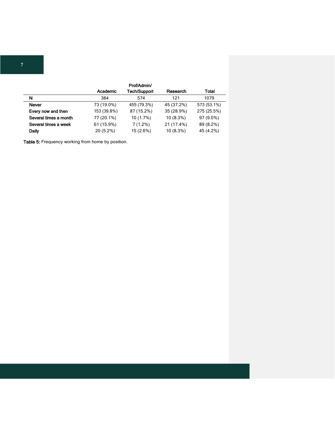|                       |             | Prof/Admin/         |             |             |
|-----------------------|-------------|---------------------|-------------|-------------|
|                       | Academic    | <b>Tech/Support</b> | Research    | Total       |
| N                     | 384         | 574                 | 121         | 1079        |
| <b>Never</b>          | 73 (19.0%)  | 455 (79.3%)         | 45 (37.2%)  | 573 (53.1%) |
| Every now and then    | 153 (39.8%) | 87 (15.2%)          | 35 (28.9%)  | 275 (25.5%) |
| Several times a month | 77 (20.1%)  | 10 (1.7%)           | $10(8.3\%)$ | 97 (9.0%)   |
| Several times a week  | 61 (15.9%)  | 7(1.2%)             | 21 (17.4%)  | 89 (8.2%)   |
| Daily                 | 20 (5.2%)   | 15 (2.6%)           | 10 (8.3%)   | 45 (4.2%)   |

Table 5: Frequency working from home by position.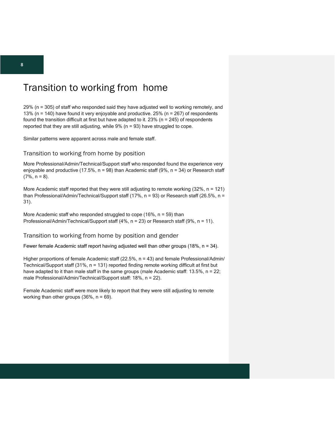## Transition to working from home

29% (n = 305) of staff who responded said they have adjusted well to working remotely, and 13% (n = 140) have found it very enjoyable and productive. 25% (n = 267) of respondents found the transition difficult at first but have adapted to it.  $23\%$  (n = 245) of respondents reported that they are still adjusting, while 9% (n = 93) have struggled to cope.

Similar patterns were apparent across male and female staff.

#### Transition to working from home by position

More Professional/Admin/Technical/Support staff who responded found the experience very enjoyable and productive (17.5%, n = 98) than Academic staff (9%, n = 34) or Research staff  $(7\%, n = 8)$ .

More Academic staff reported that they were still adjusting to remote working  $(32\% , n = 121)$ than Professional/Admin/Technical/Support staff (17%, n = 93) or Research staff (26.5%, n = 31).

More Academic staff who responded struggled to cope  $(16\% , n = 59)$  than Professional/Admin/Technical/Support staff (4%, n = 23) or Research staff (9%, n = 11).

#### Transition to working from home by position and gender

Fewer female Academic staff report having adjusted well than other groups (18%,  $n = 34$ ).

Higher proportions of female Academic staff (22.5%, n = 43) and female Professional/Admin/ Technical/Support staff (31%, n = 131) reported finding remote working difficult at first but have adapted to it than male staff in the same groups (male Academic staff: 13.5%, n = 22; male Professional/Admin/Technical/Support staff: 18%, n = 22).

Female Academic staff were more likely to report that they were still adjusting to remote working than other groups  $(36\% , n = 69)$ .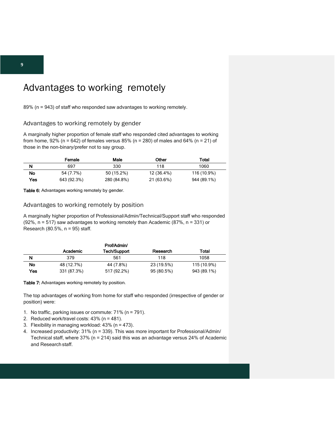# Advantages to working remotely

89% (n = 943) of staff who responded saw advantages to working remotely.

#### Advantages to working remotely by gender

A marginally higher proportion of female staff who responded cited advantages to working from home,  $92\%$  (n = 642) of females versus 85% (n = 280) of males and 64% (n = 21) of those in the non-binary/prefer not to say group.

|      | Female      | Male        | Other      | Total       |
|------|-------------|-------------|------------|-------------|
| N    | 697         | 330         | 118        | 1060        |
| No   | 54 (7.7%)   | 50 (15.2%)  | 12 (36.4%) | 116 (10.9%) |
| Yes. | 643 (92.3%) | 280 (84.8%) | 21 (63.6%) | 944 (89.1%) |

Table 6: Advantages working remotely by gender.

#### Advantages to working remotely by position

A marginally higher proportion of Professional/Admin/Technical/Support staff who responded (92%, n = 517) saw advantages to working remotely than Academic (87%, n = 331) or Research (80.5%,  $n = 95$ ) staff.

|           |             | Prof/Admin/  |            |             |
|-----------|-------------|--------------|------------|-------------|
|           | Academic    | Tech/Support | Research   | Total       |
| N         | 379         | 561          | 118        | 1058        |
| <b>No</b> | 48 (12.7%)  | 44 (7.8%)    | 23 (19.5%) | 115 (10.9%) |
| Yes       | 331 (87.3%) | 517 (92.2%)  | 95 (80.5%) | 943 (89.1%) |

#### Table 7: Advantages working remotely by position.

The top advantages of working from home for staff who responded (irrespective of gender or position) were:

- 1. No traffic, parking issues or commute: 71% (n = 791).
- 2. Reduced work/travel costs: 43% (n = 481).
- 3. Flexibility in managing workload: 43% (n = 473).
- 4. Increased productivity: 31% (n = 339). This was more important for Professional/Admin/ Technical staff, where 37% (n = 214) said this was an advantage versus 24% of Academic and Research staff.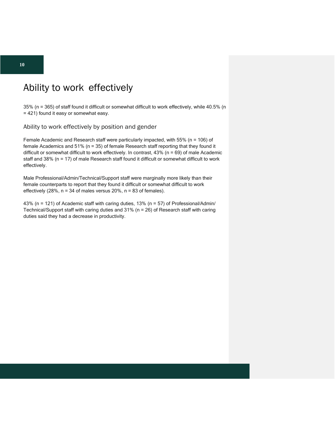# Ability to work effectively

35% (n = 365) of staff found it difficult or somewhat difficult to work effectively, while 40.5% (n = 421) found it easy or somewhat easy.

Ability to work effectively by position and gender

Female Academic and Research staff were particularly impacted, with 55% (n = 106) of female Academics and 51% (n = 35) of female Research staff reporting that they found it difficult or somewhat difficult to work effectively. In contrast, 43% (n = 69) of male Academic staff and 38% (n = 17) of male Research staff found it difficult or somewhat difficult to work effectively.

Male Professional/Admin/Technical/Support staff were marginally more likely than their female counterparts to report that they found it difficult or somewhat difficult to work effectively (28%, n = 34 of males versus 20%, n = 83 of females).

43% (n = 121) of Academic staff with caring duties, 13% (n = 57) of Professional/Admin/ Technical/Support staff with caring duties and 31% (n = 26) of Research staff with caring duties said they had a decrease in productivity.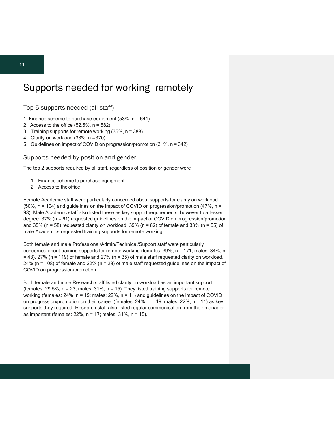### Supports needed for working remotely

Top 5 supports needed (all staff)

- 1. Finance scheme to purchase equipment  $(58\% , n = 641)$
- 2. Access to the office  $(52.5\% \text{ n} = 582)$
- 3. Training supports for remote working (35%, n = 388)
- 4. Clarity on workload (33%, n =370)
- 5. Guidelines on impact of COVID on progression/promotion (31%, n = 342)

Supports needed by position and gender

The top 2 supports required by all staff, regardless of position or gender were

- 1. Finance scheme to purchase equipment
- 2. Access to the office.

Female Academic staff were particularly concerned about supports for clarity on workload  $(50\% \text{, n = 104})$  and guidelines on the impact of COVID on progression/promotion  $(47\% \text{, n = 104})$ 98). Male Academic staff also listed these as key support requirements, however to a lesser degree: 37% (n = 61) requested guidelines on the impact of COVID on progression/promotion and 35% ( $n = 58$ ) requested clarity on workload. 39% ( $n = 82$ ) of female and 33% ( $n = 55$ ) of male Academics requested training supports for remote working.

Both female and male Professional/Admin/Technical/Support staff were particularly concerned about training supports for remote working (females: 39%, n = 171; males: 34%, n  $= 43$ ). 27% (n = 119) of female and 27% (n = 35) of male staff requested clarity on workload. 24% (n = 108) of female and 22% (n = 28) of male staff requested guidelines on the impact of COVID on progression/promotion.

Both female and male Research staff listed clarity on workload as an important support (females:  $29.5\%$ ,  $n = 23$ ; males:  $31\%$ ,  $n = 15$ ). They listed training supports for remote working (females: 24%, n = 19; males: 22%, n = 11) and guidelines on the impact of COVID on progression/promotion on their career (females: 24%, n = 19; males: 22%, n = 11) as key supports they required. Research staff also listed regular communication from their manager as important (females: 22%, n = 17; males: 31%, n = 15).

**11**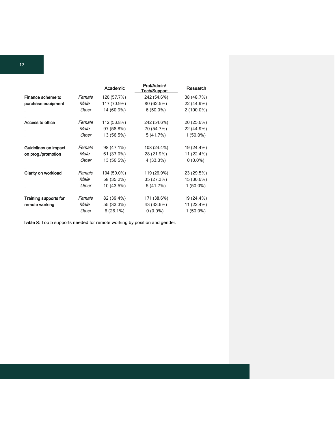|                             |             | Academic    | Prof/Admin/<br>Tech/Support | Research     |
|-----------------------------|-------------|-------------|-----------------------------|--------------|
| Finance scheme to           | Female      | 120 (57.7%) | 242 (54.6%)                 | 38 (48.7%)   |
| purchase equipment          | <i>Male</i> | 117 (70.9%) | 80 (62.5%)                  | 22 (44.9%)   |
|                             | Other       | 14 (60.9%)  | $6(50.0\%)$                 | $2(100.0\%)$ |
| Access to office            | Female      | 112 (53.8%) | 242 (54.6%)                 | 20 (25.6%)   |
|                             | <i>Male</i> | 97 (58.8%)  | 70 (54.7%)                  | 22 (44.9%)   |
|                             | Other       | 13 (56.5%)  | 5(41.7%)                    | $1(50.0\%)$  |
| <b>Guidelines on impact</b> | Female      | 98 (47.1%)  | 108 (24.4%)                 | 19 (24.4%)   |
| on prog./promotion          | <i>Male</i> | 61 (37.0%)  | 28 (21.9%)                  | 11 (22.4%)   |
|                             | Other       | 13 (56.5%)  | 4 (33.3%)                   | $0(0.0\%)$   |
| Clarity on workload         | Female      | 104 (50.0%) | 119 (26.9%)                 | 23 (29.5%)   |
|                             | Male        | 58 (35.2%)  | 35 (27.3%)                  | 15 (30.6%)   |
|                             | Other       | 10 (43.5%)  | 5(41.7%)                    | $1(50.0\%)$  |
| Training supports for       | Female      | 82 (39.4%)  | 171 (38.6%)                 | 19 (24.4%)   |
| remote working              | <i>Male</i> | 55 (33.3%)  | 43 (33.6%)                  | 11 (22.4%)   |
|                             | Other       | $6(26.1\%)$ | $0(0.0\%)$                  | $1(50.0\%)$  |

Table 8: Top 5 supports needed for remote working by position and gender.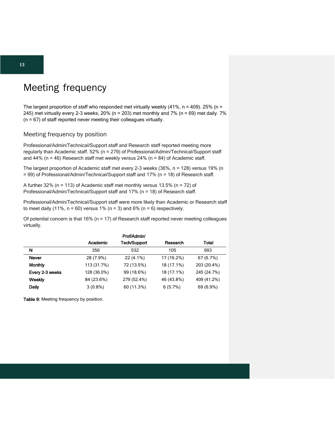# Meeting frequency

The largest proportion of staff who responded met virtually weekly  $(41\% , n = 409)$ . 25% (n = 245) met virtually every 2-3 weeks, 20% (n = 203) met monthly and 7% (n = 69) met daily. 7% (n = 67) of staff reported never meeting their colleagues virtually.

#### Meeting frequency by position

Professional/Admin/Technical/Support staff and Research staff reported meeting more regularly than Academic staff. 52% (n = 279) of Professional/Admin/Technical/Support staff and 44% (n = 46) Research staff met weekly versus 24% (n = 84) of Academic staff.

The largest proportion of Academic staff met every 2-3 weeks (36%, n = 128) versus 19% (n = 99) of Professional/Admin/Technical/Support staff and 17% (n = 18) of Research staff.

A further 32% ( $n = 113$ ) of Academic staff met monthly versus 13.5% ( $n = 72$ ) of Professional/Admin/Technical/Support staff and 17% (n = 18) of Research staff.

Professional/Admin/Technical/Support staff were more likely than Academic or Research staff to meet daily (11%,  $n = 60$ ) versus 1% ( $n = 3$ ) and 6% ( $n = 6$ ) respectively.

Of potential concern is that  $16\%$  (n = 17) of Research staff reported never meeting colleagues virtually.

|                 |             | Prof/Admin/  |            |             |
|-----------------|-------------|--------------|------------|-------------|
|                 | Academic    | Tech/Support | Research   | Total       |
| N               | 356         | 532          | 105        | 993         |
| <b>Never</b>    | 28 (7.9%)   | $22(4.1\%)$  | 17 (16.2%) | 67 (6.7%)   |
| <b>Monthly</b>  | 113 (31.7%) | 72 (13.5%)   | 18 (17.1%) | 203 (20.4%) |
| Every 2-3 weeks | 128 (36.0%) | 99 (18.6%)   | 18 (17.1%) | 245 (24.7%) |
| Weekly          | 84 (23.6%)  | 279 (52.4%)  | 46 (43.8%) | 409 (41.2%) |
| Daily           | $3(0.8\%)$  | 60 (11.3%)   | 6(5.7%)    | 69 (6.9%)   |

Table 9: Meeting frequency by position.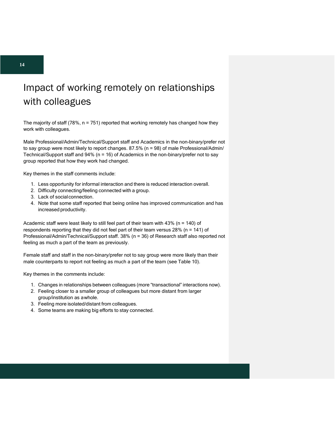# Impact of working remotely on relationships with colleagues

The majority of staff  $(78\% , n = 751)$  reported that working remotely has changed how they work with colleagues.

Male Professional/Admin/Technical/Support staff and Academics in the non-binary/prefer not to say group were most likely to report changes. 87.5% (n = 98) of male Professional/Admin/ Technical/Support staff and  $94\%$  (n = 16) of Academics in the non-binary/prefer not to say group reported that how they work had changed.

Key themes in the staff comments include:

- 1. Less opportunity for informal interaction and there is reduced interaction overall.
- 2. Difficulty connecting/feeling connected with a group.
- 3. Lack of socialconnection.
- 4. Note that some staff reported that being online has improved communication and has increased productivity.

Academic staff were least likely to still feel part of their team with  $43\%$  (n = 140) of respondents reporting that they did not feel part of their team versus 28% (n = 141) of Professional/Admin/Technical/Support staff. 38% (n = 36) of Research staff also reported not feeling as much a part of the team as previously.

Female staff and staff in the non-binary/prefer not to say group were more likely than their male counterparts to report not feeling as much a part of the team (see Table 10).

Key themes in the comments include:

- 1. Changes in relationships between colleagues (more "transactional" interactions now).
- 2. Feeling closer to a smaller group of colleagues but more distant from larger group/institution as awhole.
- 3. Feeling more isolated/distant from colleagues.
- 4. Some teams are making big efforts to stay connected.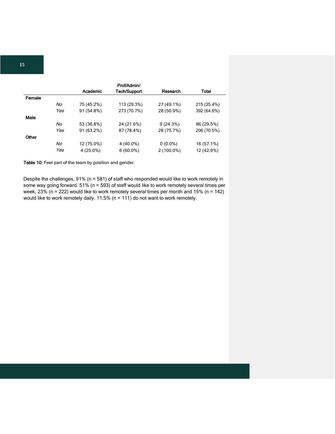|        |     |            | Prof/Admin/         |            |              |
|--------|-----|------------|---------------------|------------|--------------|
|        |     | Academic   | <b>Tech/Support</b> | Research   | <b>Total</b> |
| Female |     |            |                     |            |              |
|        | No  | 75 (45.2%) | 113 (29.3%)         | 27 (49.1%) | 215 (35.4%)  |
|        | Yes | 91 (54.8%) | 273 (70.7%)         | 28 (50.9%) | 392 (64.6%)  |
| Male   |     |            |                     |            |              |
|        | No  | 53 (36.8%) | 24 (21.6%)          | 9(24.3%)   | 86 (29.5%)   |
|        | Yes | 91 (63.2%) | 87 (78.4%)          | 28 (75.7%) | 206 (70.5%)  |
| Other  |     |            |                     |            |              |
|        | No  | 12 (75.0%) | 4 (40.0%)           | $0(0.0\%)$ | 16 (57.1%)   |
|        | Yes | 4 (25.0%)  | $6(60.0\%)$         | 2 (100.0%) | 12 (42.9%)   |

Table 10: Feel part of the team by position and gender.

Despite the challenges, 91% (n = 581) of staff who responded would like to work remotely in some way going forward. 51% (n = 593) of staff would like to work remotely several times per week, 23% (n = 222) would like to work remotely several times per month and 15% (n = 142) would like to work remotely daily. 11.5% (n = 111) do not want to work remotely.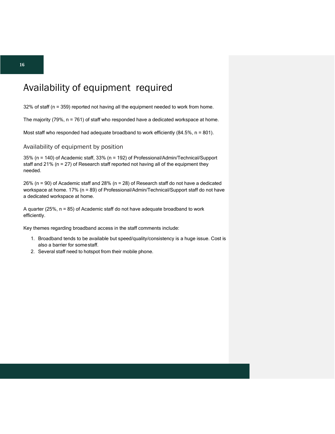# Availability of equipment required

32% of staff (n = 359) reported not having all the equipment needed to work from home.

The majority (79%, n = 761) of staff who responded have a dedicated workspace at home.

Most staff who responded had adequate broadband to work efficiently (84.5%, n = 801).

#### Availability of equipment by position

35% (n = 140) of Academic staff, 33% (n = 192) of Professional/Admin/Technical/Support staff and 21% (n = 27) of Research staff reported not having all of the equipment they needed.

26% (n = 90) of Academic staff and 28% (n = 28) of Research staff do not have a dedicated workspace at home. 17% (n = 89) of Professional/Admin/Technical/Support staff do not have a dedicated workspace at home.

A quarter (25%, n = 85) of Academic staff do not have adequate broadband to work efficiently.

Key themes regarding broadband access in the staff comments include:

- 1. Broadband tends to be available but speed/quality/consistency is a huge issue. Cost is also a barrier for somestaff.
- 2. Several staff need to hotspot from their mobile phone.